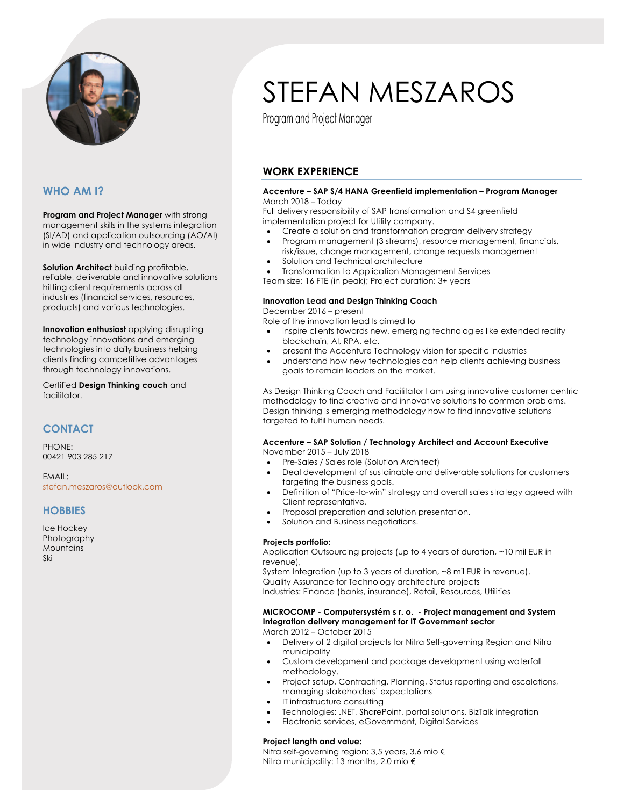

# **WHO AM I?**

**Program and Project Manager** with strong management skills in the systems integration (SI/AD) and application outsourcing (AO/AI) in wide industry and technology areas.

**Solution Architect** building profitable, reliable, deliverable and innovative solutions hitting client requirements across all industries (financial services, resources, products) and various technologies.

**Innovation enthusiast** applying disrupting technology innovations and emerging technologies into daily business helping clients finding competitive advantages through technology innovations.

Certified **Design Thinking couch** and facilitator.

# **CONTACT**

PHONE: 00421 903 285 217

EMAIL: stefan.meszaros@outlook.com

## **HOBBIES**

Ice Hockey Photography Mountains Ski

# STEFAN MESZAROS

Program and Project Manager

# **WORK EXPERIENCE**

#### **Accenture – SAP S/4 HANA Greenfield implementation – Program Manager** March 2018 – Today

Full delivery responsibility of SAP transformation and S4 greenfield implementation project for Utility company.

- Create a solution and transformation program delivery strategy
- Program management (3 streams), resource management, financials, risk/issue, change management, change requests management
- Solution and Technical architecture
- Transformation to Application Management Services
- Team size: 16 FTE (in peak); Project duration: 3+ years

## **Innovation Lead and Design Thinking Coach**

### December 2016 – present

Role of the innovation lead Is aimed to

- inspire clients towards new, emerging technologies like extended reality blockchain, AI, RPA, etc.
	- present the Accenture Technology vision for specific industries
	- understand how new technologies can help clients achieving business goals to remain leaders on the market.

As Design Thinking Coach and Facilitator I am using innovative customer centric methodology to find creative and innovative solutions to common problems. Design thinking is emerging methodology how to find innovative solutions targeted to fulfil human needs.

#### **Accenture – SAP Solution / Technology Architect and Account Executive** November 2015 – July 2018

- Pre-Sales / Sales role (Solution Architect)
- Deal development of sustainable and deliverable solutions for customers targeting the business goals.
- Definition of "Price-to-win" strategy and overall sales strategy agreed with Client representative.
- Proposal preparation and solution presentation.
- Solution and Business negotiations.

## **Projects portfolio:**

Application Outsourcing projects (up to 4 years of duration, ~10 mil EUR in revenue),

System Integration (up to 3 years of duration, ~8 mil EUR in revenue). Quality Assurance for Technology architecture projects Industries: Finance (banks, insurance), Retail, Resources, Utilities

#### **MICROCOMP - Computersystém s r. o. - Project management and System Integration delivery management for IT Government sector** March 2012 – October 2015

- Delivery of 2 digital projects for Nitra Self-governing Region and Nitra municipality
- Custom development and package development using waterfall methodology.
- Project setup, Contracting, Planning, Status reporting and escalations, managing stakeholders' expectations
- IT infrastructure consulting
- Technologies: .NET, SharePoint, portal solutions, BizTalk integration
- Electronic services, eGovernment, Digital Services

## **Project length and value:**

Nitra self-governing region: 3,5 years, 3.6 mio € Nitra municipality: 13 months, 2.0 mio €